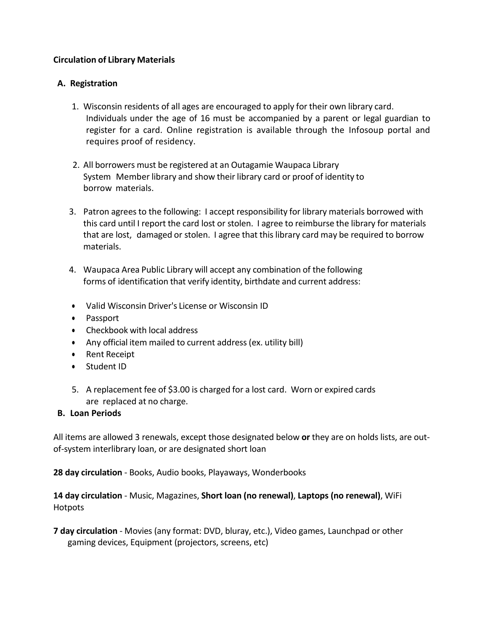## **Circulation of Library Materials**

### **A. Registration**

- 1. Wisconsin residents of all ages are encouraged to apply for their own library card. Individuals under the age of 16 must be accompanied by a parent or legal guardian to register for a card. Online registration is available through the Infosoup portal and requires proof of residency.
- 2. All borrowers must be registered at an Outagamie Waupaca Library System Member library and show their library card or proof of identity to borrow materials.
- 3. Patron agreesto the following: I accept responsibility for library materials borrowed with this card until I report the card lost or stolen. I agree to reimburse the library for materials that are lost, damaged or stolen. I agree that thislibrary card may be required to borrow materials.
- 4. Waupaca Area Public Library will accept any combination of the following forms of identification that verify identity, birthdate and current address:
- Valid Wisconsin Driver's License or Wisconsin ID
- Passport
- Checkbook with local address
- Any official item mailed to current address (ex. utility bill)
- **•** Rent Receipt
- Student ID
- 5. A replacement fee of \$3.00 is charged for a lost card. Worn or expired cards are replaced at no charge.

## **B. Loan Periods**

All items are allowed 3 renewals, except those designated below **or** they are on holds lists, are outof-system interlibrary loan, or are designated short loan

**28 day circulation** - Books, Audio books, Playaways, Wonderbooks

# **14 day circulation** - Music, Magazines, **Short loan (no renewal)**, **Laptops (no renewal)**, WiFi **Hotpots**

**7 day circulation** - Movies (any format: DVD, bluray, etc.), Video games, Launchpad or other gaming devices, Equipment (projectors, screens, etc)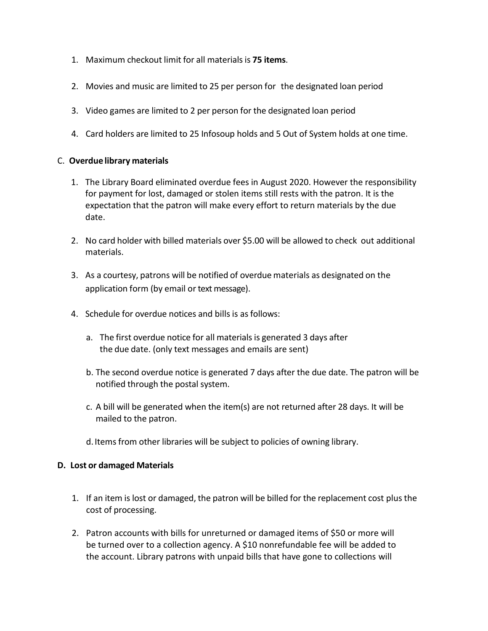- 1. Maximum checkout limit for all materials is **75 items**.
- 2. Movies and music are limited to 25 per person for the designated loan period
- 3. Video games are limited to 2 per person for the designated loan period
- 4. Card holders are limited to 25 Infosoup holds and 5 Out of System holds at one time.

#### C. **Overdue library materials**

- 1. The Library Board eliminated overdue fees in August 2020. However the responsibility for payment for lost, damaged or stolen items still rests with the patron. It is the expectation that the patron will make every effort to return materials by the due date.
- 2. No card holder with billed materials over \$5.00 will be allowed to check out additional materials.
- 3. As a courtesy, patrons will be notified of overdue materials as designated on the application form (by email or text message).
- 4. Schedule for overdue notices and bills is asfollows:
	- a. The first overdue notice for all materials is generated 3 days after the due date. (only text messages and emails are sent)
	- b. The second overdue notice is generated 7 days after the due date. The patron will be notified through the postal system.
	- c. A bill will be generated when the item(s) are not returned after 28 days. It will be mailed to the patron.
	- d. Items from other libraries will be subject to policies of owning library.

#### **D. Lost or damaged Materials**

- 1. If an item is lost or damaged, the patron will be billed for the replacement cost plusthe cost of processing.
- 2. Patron accounts with bills for unreturned or damaged items of \$50 or more will be turned over to a collection agency. A \$10 nonrefundable fee will be added to the account. Library patrons with unpaid bills that have gone to collections will